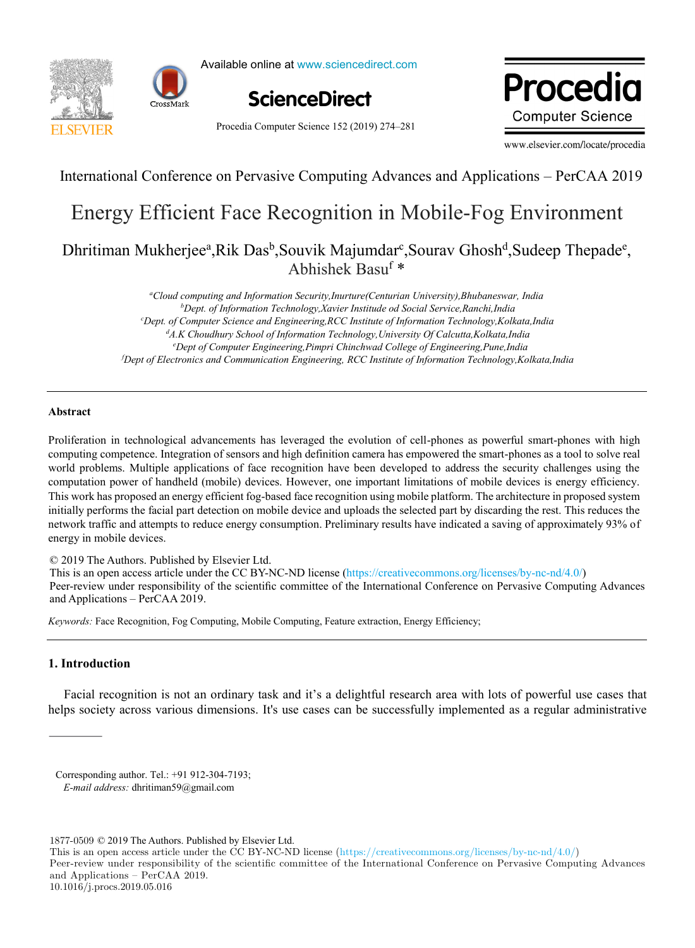



Available online at www.sciencedirect.com



Procedia Computer Science 152 (2019) 274–281

www.elsevier.com Procedia

www.elsevier.com/locate/procedia

 $\frac{1}{1}$  Conference on  $\frac{1}{2}$ International Conference on Pervasive Computing Advances and Applications – PerCAA 2019

# Energy Efficient Face Recognition in Mobile-Fog Environment Energy Efficient Face Recognition in Mobile-Fog Environment

 $\frac{1}{\text{Abhisk}}$  Basil<sup>t</sup> \* Abhishek Basu<sup>f</sup> Dhritiman Mukherjee<sup>a</sup>,Rik Das<sup>b</sup>,Souvik Majumdar<sup>c</sup>,Sourav Ghosh<sup>d</sup>,Sudeep Thepade<sup>e</sup>,

Abhishek Basuf \* *a Cloud computing and Information Security,Inurture(Centurian University),Bhubaneswar, India Cloud computing and Information Security,Inurture(Centurian University),Bhubaneswar, India b Dept. of Information Technology,Xavier Institude od Social Service,Ranchi,India b Dept. of Information Technology,Xavier Institude od Social Service,Ranchi,India c Dept. of Computer Science and Engineering,RCC Institute of Information Technology,Kolkata,India Dept. of Computer Science and Engineering,RCC Institute of Information Technology,Kolkata,India d A.K Choudhury School of Information Technology,University Of Calcutta,Kolkata,India A.K Choudhury School of Information Technology,University Of Calcutta,Kolkata,India e Dept of Computer Engineering,Pimpri Chinchwad College of Engineering,Pune,India f* Dept of Electronics and Communication Engineering, RCC Institute of Information Technology,Kolkata,India

## **Abstract**

computing competence. Integration of sensors and high definition camera has empowered the smart-phones as a tool to solve real world problems. Multiple applications of face recognition have been developed to address the security challenges using the computation power of handheld (mobile) devices. However, one important limitations of mobile devices is energy efficiency. This work has proposed an energy efficient fog-based face recognition using mobile platform. The architecture in proposed system initially performs the facial part detection on mobile device and uploads the selected part by discarding the rest. This reduces the network traffic and attempts to reduce energy consumption. Preliminary results have indicated a saving of approximately 93% of energy in mobile devices. Preliminary results have indicated a saving of approximately 93% of approximately 93% of approximately 93% of approximately 93% of approximately 93% of approximately 93% of approximately 93% of ap Proliferation in technological advancements has leveraged the evolution of cell-phones as powerful smart-phones with high

© 2019 The Authors. Published by Elsevier Ltd.

This is an open access article under the CC BY-NC-ND license (https://creativecommons.org/licenses/by-nc-nd/4.0/) © 2019 The Authors. Published by Elsevier Ltd. This is an open access article under the CC B1-NC-ND ficense (https://creativecommons.org/necnses/of-he-her-to/j<br>Peer-review under responsibility of the scientific committee of the International Conference on Pervasive Com and Applications – PerCAA 2019.  $T_{\text{t}}$  and Applications  $\frac{\text{Per}(\Delta \Delta 2019)}{\text{Per}(\Delta \Delta 2019)}$ This is an open access article under the CC BY-NC-ND license (https://creativecommons.org/licenses/by-nc-nd/4.0/) in the CC BY-NC-ND license (https://creativecommons.org/licenses/by-nc-nd/4.0/) in the commuting  $\alpha$  and *Keywords:* Face Recognition, Fog Computing, Mobile Computing, Feature extraction, Energy Efficiency;

*Keywords:* Face Recognition, Fog Computing, Mobile Computing, Feature extraction, Energy Efficiency;

## **1. Introduction**

Facial recognition is not an ordinary task and it's a delightful research area with lots of powerful use cases that helps society across various dimensions. It's use cases can be successfully implemented as a regular administrative

1877-0509 © 2019 The Authors. Published by Elsevier Ltd.

This is an open access article under the CC BY-NC-ND license (https://creativecommons.org/licenses/by-nc-nd/4.0/)

Peer-review under responsibility of the scientific committee of the International Conference on Pervasive Computing Advances and Applications – PerCAA 2019. 10.1016/j.procs.2019.05.016

Corresponding author. Tel.: +91 912-304-7193;

*E-mail address:* dhritiman59@gmail.com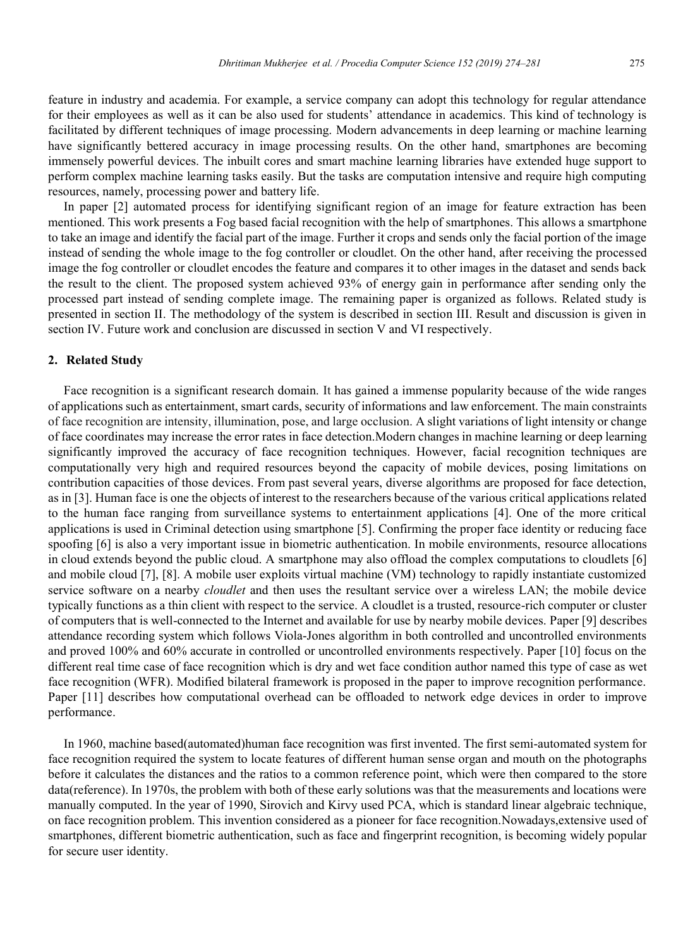feature in industry and academia. For example, a service company can adopt this technology for regular attendance for their employees as well as it can be also used for students' attendance in academics. This kind of technology is facilitated by different techniques of image processing. Modern advancements in deep learning or machine learning have significantly bettered accuracy in image processing results. On the other hand, smartphones are becoming immensely powerful devices. The inbuilt cores and smart machine learning libraries have extended huge support to perform complex machine learning tasks easily. But the tasks are computation intensive and require high computing resources, namely, processing power and battery life.

In paper [2] automated process for identifying significant region of an image for feature extraction has been mentioned. This work presents a Fog based facial recognition with the help of smartphones. This allows a smartphone to take an image and identify the facial part of the image. Further it crops and sends only the facial portion of the image instead of sending the whole image to the fog controller or cloudlet. On the other hand, after receiving the processed image the fog controller or cloudlet encodes the feature and compares it to other images in the dataset and sends back the result to the client. The proposed system achieved 93% of energy gain in performance after sending only the processed part instead of sending complete image. The remaining paper is organized as follows. Related study is presented in section II. The methodology of the system is described in section III. Result and discussion is given in section IV. Future work and conclusion are discussed in section V and VI respectively.

## **2. Related Study**

Face recognition is a significant research domain. It has gained a immense popularity because of the wide ranges of applications such as entertainment, smart cards, security of informations and law enforcement. The main constraints of face recognition are intensity, illumination, pose, and large occlusion. A slight variations of light intensity or change of face coordinates may increase the error rates in face detection.Modern changes in machine learning or deep learning significantly improved the accuracy of face recognition techniques. However, facial recognition techniques are computationally very high and required resources beyond the capacity of mobile devices, posing limitations on contribution capacities of those devices. From past several years, diverse algorithms are proposed for face detection, as in [3]. Human face is one the objects of interest to the researchers because of the various critical applications related to the human face ranging from surveillance systems to entertainment applications [4]. One of the more critical applications is used in Criminal detection using smartphone [5]. Confirming the proper face identity or reducing face spoofing [6] is also a very important issue in biometric authentication. In mobile environments, resource allocations in cloud extends beyond the public cloud. A smartphone may also offload the complex computations to cloudlets [6] and mobile cloud [7], [8]. A mobile user exploits virtual machine (VM) technology to rapidly instantiate customized service software on a nearby *cloudlet* and then uses the resultant service over a wireless LAN; the mobile device typically functions as a thin client with respect to the service. A cloudlet is a trusted, resource-rich computer or cluster of computers that is well-connected to the Internet and available for use by nearby mobile devices. Paper [9] describes attendance recording system which follows Viola-Jones algorithm in both controlled and uncontrolled environments and proved 100% and 60% accurate in controlled or uncontrolled environments respectively. Paper [10] focus on the different real time case of face recognition which is dry and wet face condition author named this type of case as wet face recognition (WFR). Modified bilateral framework is proposed in the paper to improve recognition performance. Paper [11] describes how computational overhead can be offloaded to network edge devices in order to improve performance.

In 1960, machine based(automated)human face recognition was first invented. The first semi-automated system for face recognition required the system to locate features of different human sense organ and mouth on the photographs before it calculates the distances and the ratios to a common reference point, which were then compared to the store data(reference). In 1970s, the problem with both of these early solutions was that the measurements and locations were manually computed. In the year of 1990, Sirovich and Kirvy used PCA, which is standard linear algebraic technique, on face recognition problem. This invention considered as a pioneer for face recognition.Nowadays,extensive used of smartphones, different biometric authentication, such as face and fingerprint recognition, is becoming widely popular for secure user identity.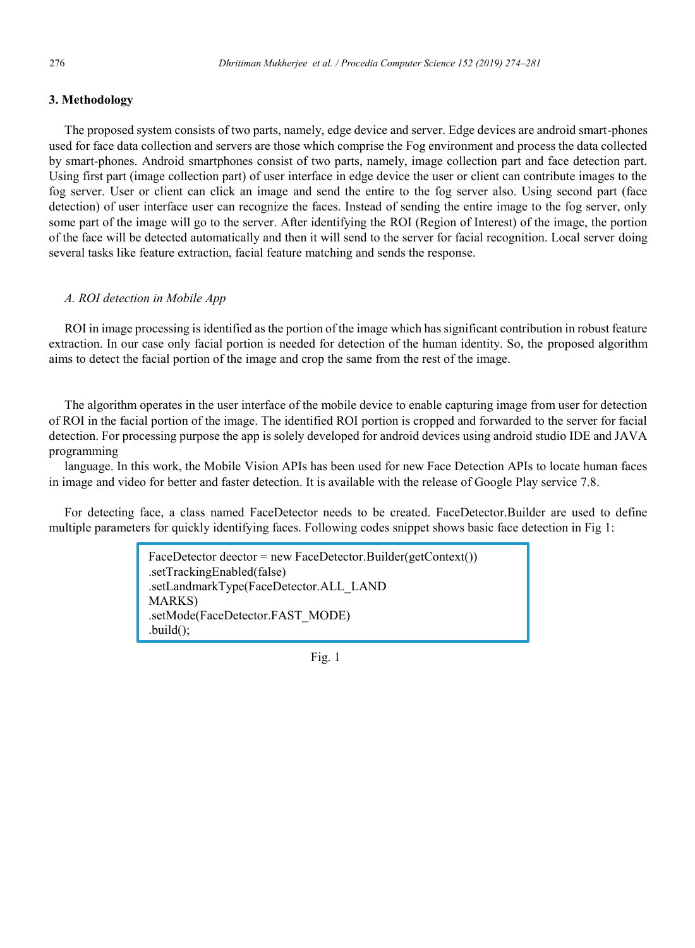# **3. Methodology**

The proposed system consists of two parts, namely, edge device and server. Edge devices are android smart-phones used for face data collection and servers are those which comprise the Fog environment and process the data collected by smart-phones. Android smartphones consist of two parts, namely, image collection part and face detection part. Using first part (image collection part) of user interface in edge device the user or client can contribute images to the fog server. User or client can click an image and send the entire to the fog server also. Using second part (face detection) of user interface user can recognize the faces. Instead of sending the entire image to the fog server, only some part of the image will go to the server. After identifying the ROI (Region of Interest) of the image, the portion of the face will be detected automatically and then it will send to the server for facial recognition. Local server doing several tasks like feature extraction, facial feature matching and sends the response.

# *A. ROI detection in Mobile App*

ROI in image processing is identified as the portion of the image which has significant contribution in robust feature extraction. In our case only facial portion is needed for detection of the human identity. So, the proposed algorithm aims to detect the facial portion of the image and crop the same from the rest of the image.

The algorithm operates in the user interface of the mobile device to enable capturing image from user for detection of ROI in the facial portion of the image. The identified ROI portion is cropped and forwarded to the server for facial detection. For processing purpose the app is solely developed for android devices using android studio IDE and JAVA programming

language. In this work, the Mobile Vision APIs has been used for new Face Detection APIs to locate human faces in image and video for better and faster detection. It is available with the release of Google Play service 7.8.

For detecting face, a class named FaceDetector needs to be created. FaceDetector.Builder are used to define multiple parameters for quickly identifying faces. Following codes snippet shows basic face detection in Fig 1:

> $FaceDetector = new FaceDetector.Builder(getContext())$ .setTrackingEnabled(false) .setLandmarkType(FaceDetector.ALL\_LAND MARKS) .setMode(FaceDetector.FAST\_MODE)  $buid()$ :

Fig. 1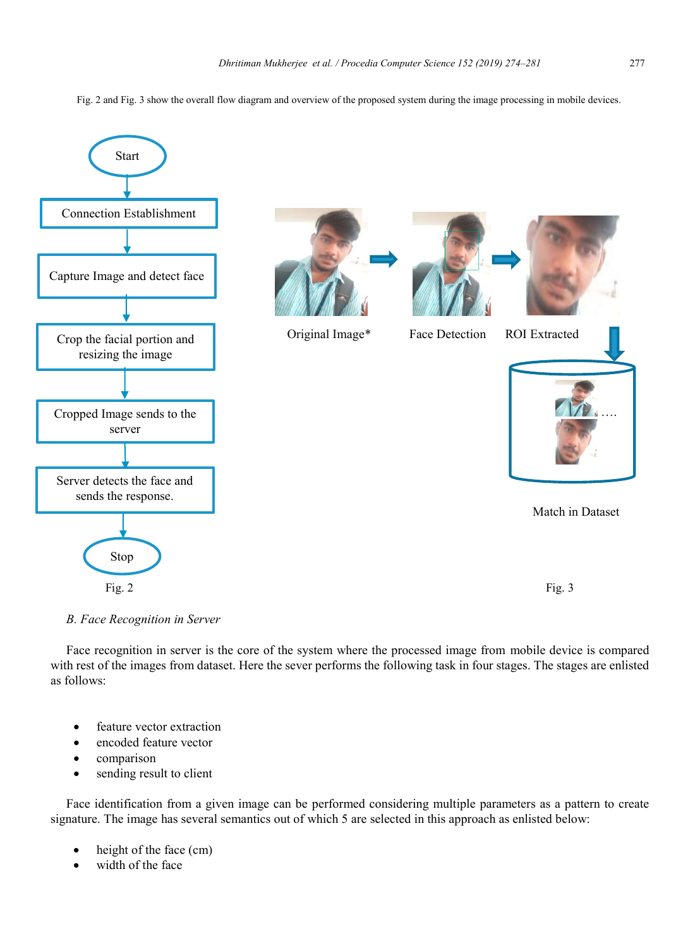Fig. 2 and Fig. 3 show the overall flow diagram and overview of the proposed system during the image processing in mobile devices.



*B. Face Recognition in Server*

Face recognition in server is the core of the system where the processed image from mobile device is compared with rest of the images from dataset. Here the sever performs the following task in four stages. The stages are enlisted as follows:

- feature vector extraction
- encoded feature vector
- comparison
- sending result to client

Face identification from a given image can be performed considering multiple parameters as a pattern to create signature. The image has several semantics out of which 5 are selected in this approach as enlisted below:

- height of the face (cm)
- width of the face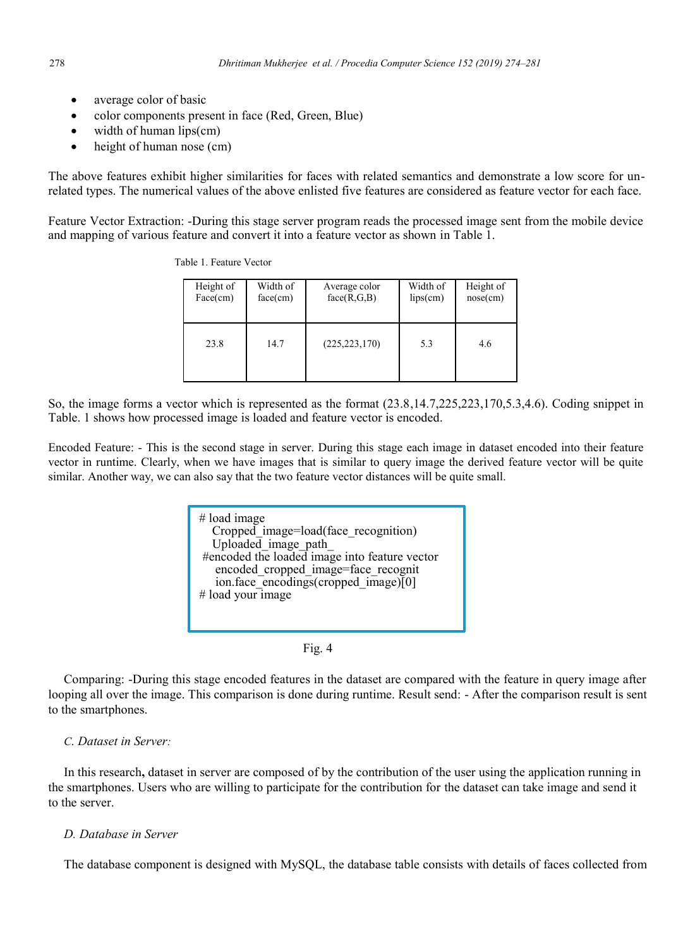- average color of basic
- color components present in face (Red, Green, Blue)

Table 1. Feature Vector

- width of human lips(cm)
- height of human nose (cm)

The above features exhibit higher similarities for faces with related semantics and demonstrate a low score for unrelated types. The numerical values of the above enlisted five features are considered as feature vector for each face.

Feature Vector Extraction: -During this stage server program reads the processed image sent from the mobile device and mapping of various feature and convert it into a feature vector as shown in Table 1.

| Height of   | Width of | Average color   | Width of | Height of |
|-------------|----------|-----------------|----------|-----------|
| $Face$ (cm) | face(cm) | face(R, G, B)   | lips(cm) | nose(cm)  |
| 23.8        | 14.7     | (225, 223, 170) | 5.3      | 4.6       |

So, the image forms a vector which is represented as the format (23.8,14.7,225,223,170,5.3,4.6). Coding snippet in Table. 1 shows how processed image is loaded and feature vector is encoded.

Encoded Feature: - This is the second stage in server. During this stage each image in dataset encoded into their feature vector in runtime. Clearly, when we have images that is similar to query image the derived feature vector will be quite similar. Another way, we can also say that the two feature vector distances will be quite small.

| $#$ load image<br>Cropped image=load(face recognition)<br>Uploaded image path<br>#encoded the loaded image into feature vector<br>encoded_cropped_image=face_recognit<br>ion.face encodings(cropped image)[0]<br># load your image |
|------------------------------------------------------------------------------------------------------------------------------------------------------------------------------------------------------------------------------------|
| Fig.                                                                                                                                                                                                                               |

Comparing: -During this stage encoded features in the dataset are compared with the feature in query image after looping all over the image. This comparison is done during runtime. Result send: - After the comparison result is sent to the smartphones.

# *C. Dataset in Server:*

In this research**,** dataset in server are composed of by the contribution of the user using the application running in the smartphones. Users who are willing to participate for the contribution for the dataset can take image and send it to the server.

#### *D. Database in Server*

The database component is designed with MySQL, the database table consists with details of faces collected from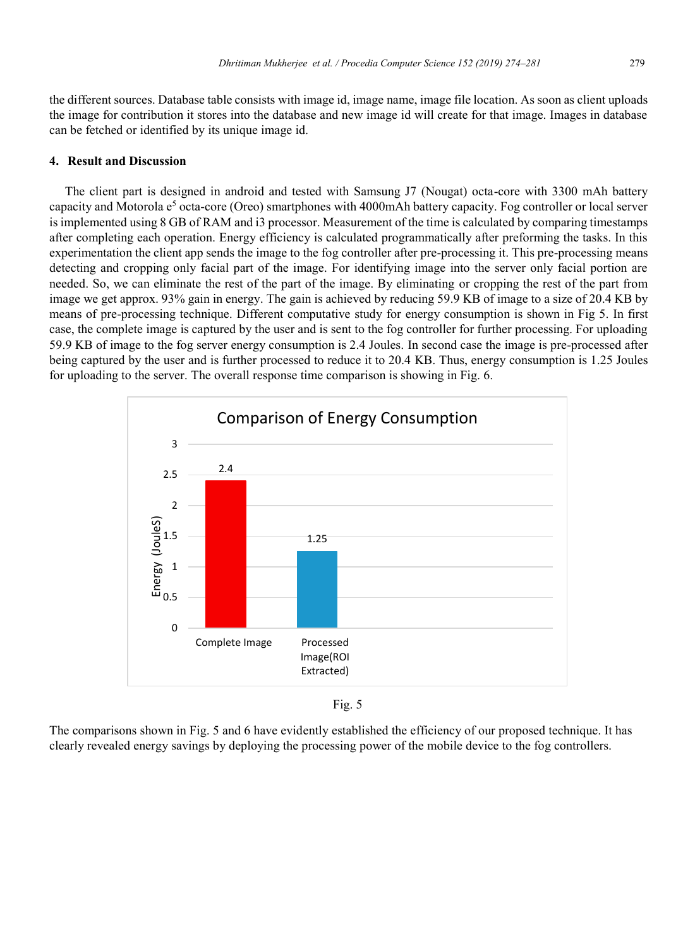the different sources. Database table consists with image id, image name, image file location. As soon as client uploads the image for contribution it stores into the database and new image id will create for that image. Images in database can be fetched or identified by its unique image id.

## **4. Result and Discussion**

The client part is designed in android and tested with Samsung J7 (Nougat) octa-core with 3300 mAh battery capacity and Motorola  $e^5$  octa-core (Oreo) smartphones with 4000mAh battery capacity. Fog controller or local server is implemented using 8 GB of RAM and i3 processor. Measurement of the time is calculated by comparing timestamps after completing each operation. Energy efficiency is calculated programmatically after preforming the tasks. In this experimentation the client app sends the image to the fog controller after pre-processing it. This pre-processing means detecting and cropping only facial part of the image. For identifying image into the server only facial portion are needed. So, we can eliminate the rest of the part of the image. By eliminating or cropping the rest of the part from image we get approx. 93% gain in energy. The gain is achieved by reducing 59.9 KB of image to a size of 20.4 KB by means of pre-processing technique. Different computative study for energy consumption is shown in Fig 5. In first case, the complete image is captured by the user and is sent to the fog controller for further processing. For uploading 59.9 KB of image to the fog server energy consumption is 2.4 Joules. In second case the image is pre-processed after being captured by the user and is further processed to reduce it to 20.4 KB. Thus, energy consumption is 1.25 Joules for uploading to the server. The overall response time comparison is showing in Fig. 6.



|--|

The comparisons shown in Fig. 5 and 6 have evidently established the efficiency of our proposed technique. It has clearly revealed energy savings by deploying the processing power of the mobile device to the fog controllers.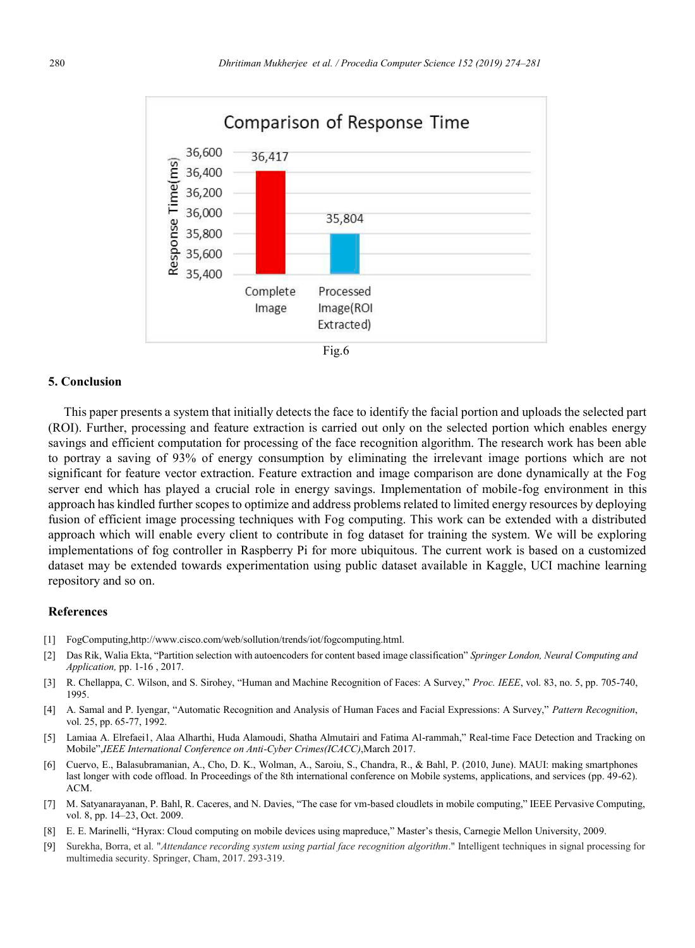

#### **5. Conclusion**

This paper presents a system that initially detects the face to identify the facial portion and uploads the selected part (ROI). Further, processing and feature extraction is carried out only on the selected portion which enables energy savings and efficient computation for processing of the face recognition algorithm. The research work has been able to portray a saving of 93% of energy consumption by eliminating the irrelevant image portions which are not significant for feature vector extraction. Feature extraction and image comparison are done dynamically at the Fog server end which has played a crucial role in energy savings. Implementation of mobile-fog environment in this approach has kindled further scopes to optimize and address problems related to limited energy resources by deploying fusion of efficient image processing techniques with Fog computing. This work can be extended with a distributed approach which will enable every client to contribute in fog dataset for training the system. We will be exploring implementations of fog controller in Raspberry Pi for more ubiquitous. The current work is based on a customized dataset may be extended towards experimentation using public dataset available in Kaggle, UCI machine learning repository and so on.

#### **References**

- [1] FogComputing,http://www.cisco.com/web/sollution/trends/iot/fogcomputing.html.
- [2] Das Rik, Walia Ekta, "Partition selection with autoencoders for content based image classification" *Springer London, Neural Computing and Application,* pp. 1-16 , 2017.
- [3] R. Chellappa, C. Wilson, and S. Sirohey, "Human and Machine Recognition of Faces: A Survey," *Proc. IEEE*, vol. 83, no. 5, pp. 705-740, 1995.
- [4] A. Samal and P. Iyengar, "Automatic Recognition and Analysis of Human Faces and Facial Expressions: A Survey," *Pattern Recognition*, vol. 25, pp. 65-77, 1992.
- [5] Lamiaa A. Elrefaei1, Alaa Alharthi, Huda Alamoudi, Shatha Almutairi and Fatima Al-rammah," Real-time Face Detection and Tracking on Mobile",*IEEE International Conference on Anti-Cyber Crimes(ICACC)*,March 2017.
- [6] Cuervo, E., Balasubramanian, A., Cho, D. K., Wolman, A., Saroiu, S., Chandra, R., & Bahl, P. (2010, June). MAUI: making smartphones last longer with code offload. In Proceedings of the 8th international conference on Mobile systems, applications, and services (pp. 49-62). ACM.
- [7] M. Satyanarayanan, P. Bahl, R. Caceres, and N. Davies, "The case for vm-based cloudlets in mobile computing," IEEE Pervasive Computing, vol. 8, pp. 14–23, Oct. 2009.
- [8] E. E. Marinelli, "Hyrax: Cloud computing on mobile devices using mapreduce," Master's thesis, Carnegie Mellon University, 2009.
- [9] Surekha, Borra, et al. "*Attendance recording system using partial face recognition algorithm*." Intelligent techniques in signal processing for multimedia security. Springer, Cham, 2017. 293-319.